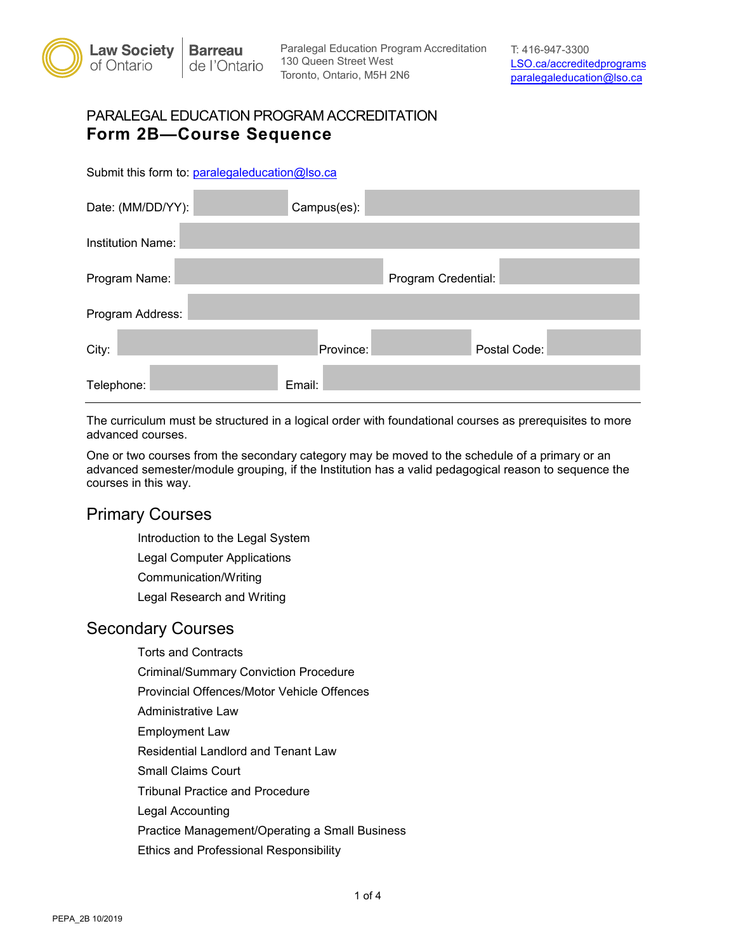

Toronto, Ontario, M5H 2N6 Paralegal Education Program Accreditation T: 416-947-3300<br>130 Queen Street West **The Contract Program Times** 

#### PARALEGAL EDUCATION PROGRAM ACCREDITATION **Form 2B—Course Sequence**

Submit this form to: [paralegaleducation@lso.ca](mailto:paralegaleducation@lso.ca) 

| Date: (MM/DD/YY):        | Campus(es): |                     |  |
|--------------------------|-------------|---------------------|--|
| <b>Institution Name:</b> |             |                     |  |
| Program Name:            |             | Program Credential: |  |
| Program Address:         |             |                     |  |
| City:                    | Province:   | Postal Code:        |  |
| Telephone:               | Email:      |                     |  |

The curriculum must be structured in a logical order with foundational courses as prerequisites to more advanced courses.

One or two courses from the secondary category may be moved to the schedule of a primary or an advanced semester/module grouping, if the Institution has a valid pedagogical reason to sequence the courses in this way.

## Primary Courses

Introduction to the Legal System Legal Computer Applications Communication/Writing

Legal Research and Writing

## Secondary Courses

Torts and Contracts

Criminal/Summary Conviction Procedure

Provincial Offences/Motor Vehicle Offences

Administrative Law

Employment Law

Residential Landlord and Tenant Law

Small Claims Court

Tribunal Practice and Procedure

Legal Accounting

Practice Management/Operating a Small Business

Ethics and Professional Responsibility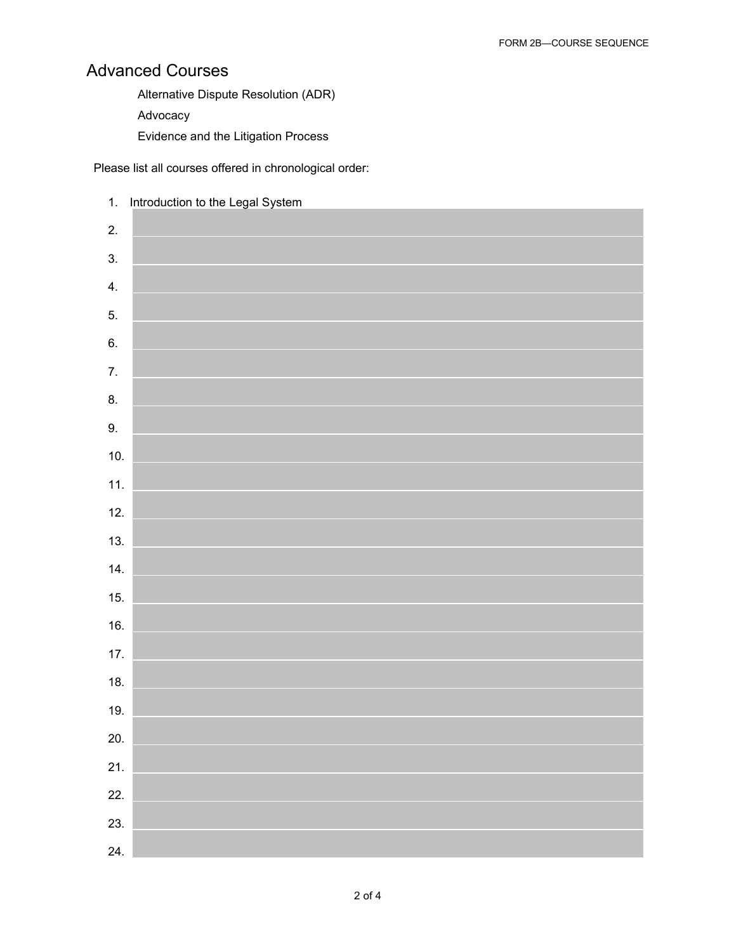# Advanced Courses

Alternative Dispute Resolution (ADR)

Advocacy

Evidence and the Litigation Process

Please list all courses offered in chronological order:

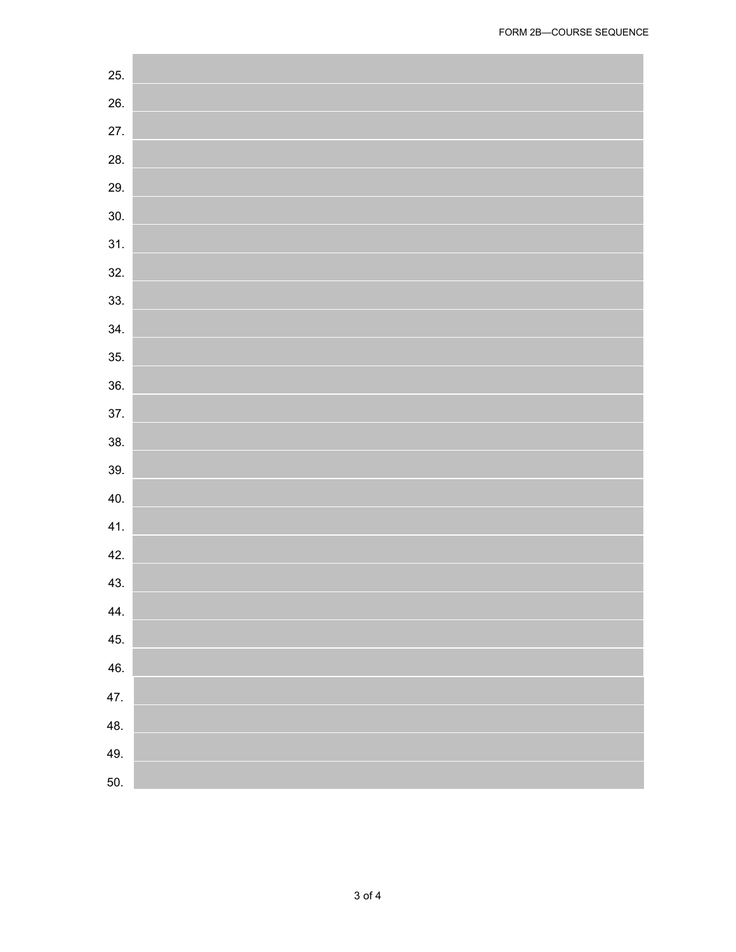| 25. |  |
|-----|--|
| 26. |  |
| 27. |  |
| 28. |  |
| 29. |  |
| 30. |  |
| 31. |  |
| 32. |  |
| 33. |  |
| 34. |  |
| 35. |  |
| 36. |  |
| 37. |  |
| 38. |  |
| 39. |  |
| 40. |  |
| 41. |  |
| 42. |  |
| 43. |  |
| 44. |  |
| 45. |  |
| 46. |  |
| 47. |  |
| 48. |  |
| 49. |  |
| 50. |  |
|     |  |